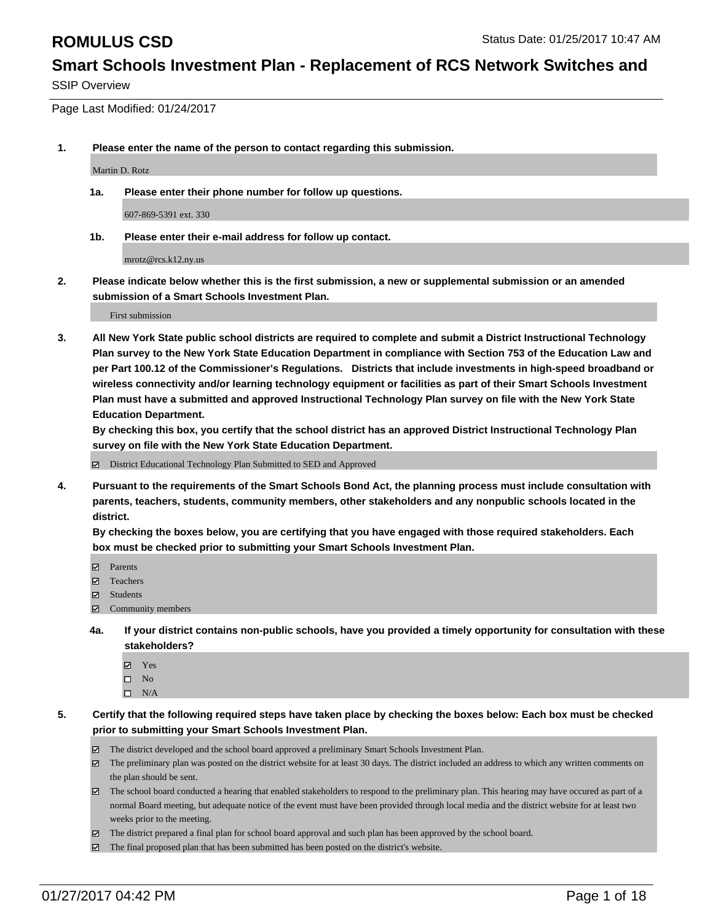SSIP Overview

Page Last Modified: 01/24/2017

**1. Please enter the name of the person to contact regarding this submission.**

Martin D. Rotz

**1a. Please enter their phone number for follow up questions.**

607-869-5391 ext. 330

**1b. Please enter their e-mail address for follow up contact.**

mrotz@rcs.k12.ny.us

**2. Please indicate below whether this is the first submission, a new or supplemental submission or an amended submission of a Smart Schools Investment Plan.**

First submission

**3. All New York State public school districts are required to complete and submit a District Instructional Technology Plan survey to the New York State Education Department in compliance with Section 753 of the Education Law and per Part 100.12 of the Commissioner's Regulations. Districts that include investments in high-speed broadband or wireless connectivity and/or learning technology equipment or facilities as part of their Smart Schools Investment Plan must have a submitted and approved Instructional Technology Plan survey on file with the New York State Education Department.** 

**By checking this box, you certify that the school district has an approved District Instructional Technology Plan survey on file with the New York State Education Department.**

District Educational Technology Plan Submitted to SED and Approved

**4. Pursuant to the requirements of the Smart Schools Bond Act, the planning process must include consultation with parents, teachers, students, community members, other stakeholders and any nonpublic schools located in the district.** 

**By checking the boxes below, you are certifying that you have engaged with those required stakeholders. Each box must be checked prior to submitting your Smart Schools Investment Plan.**

- **Parents**
- Teachers
- **☑** Students
- $□$  Community members
- **4a. If your district contains non-public schools, have you provided a timely opportunity for consultation with these stakeholders?**
	- Yes
	- $\square$  No
	- $\square$  N/A
- **5. Certify that the following required steps have taken place by checking the boxes below: Each box must be checked prior to submitting your Smart Schools Investment Plan.**
	- The district developed and the school board approved a preliminary Smart Schools Investment Plan.
	- The preliminary plan was posted on the district website for at least 30 days. The district included an address to which any written comments on the plan should be sent.
	- The school board conducted a hearing that enabled stakeholders to respond to the preliminary plan. This hearing may have occured as part of a normal Board meeting, but adequate notice of the event must have been provided through local media and the district website for at least two weeks prior to the meeting.
	- The district prepared a final plan for school board approval and such plan has been approved by the school board.
	- $\boxtimes$  The final proposed plan that has been submitted has been posted on the district's website.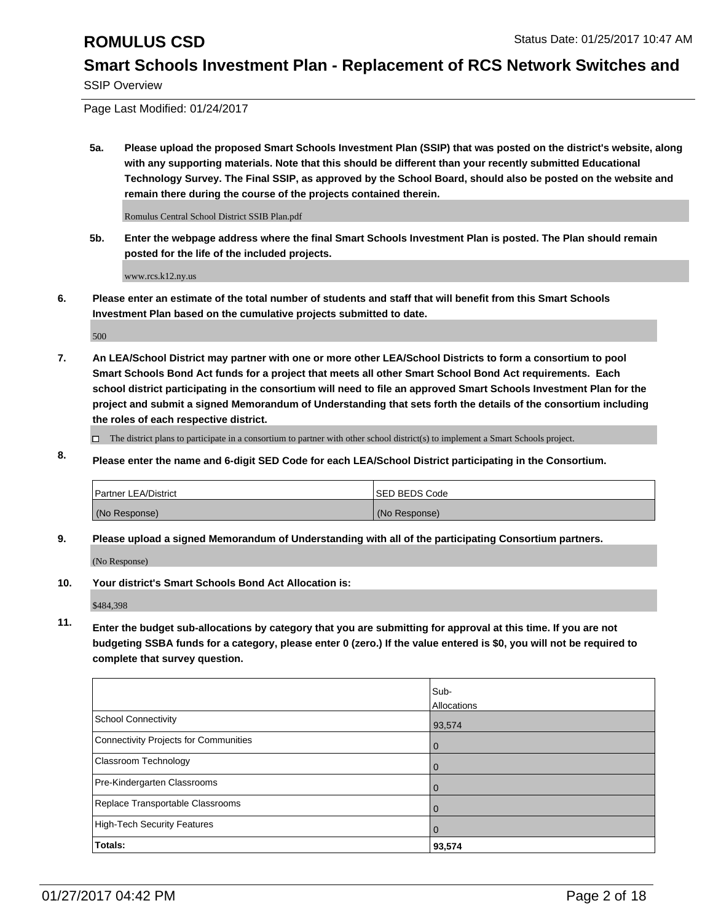SSIP Overview

Page Last Modified: 01/24/2017

**5a. Please upload the proposed Smart Schools Investment Plan (SSIP) that was posted on the district's website, along with any supporting materials. Note that this should be different than your recently submitted Educational Technology Survey. The Final SSIP, as approved by the School Board, should also be posted on the website and remain there during the course of the projects contained therein.**

Romulus Central School District SSIB Plan.pdf

**5b. Enter the webpage address where the final Smart Schools Investment Plan is posted. The Plan should remain posted for the life of the included projects.**

www.rcs.k12.ny.us

**6. Please enter an estimate of the total number of students and staff that will benefit from this Smart Schools Investment Plan based on the cumulative projects submitted to date.**

500

- **7. An LEA/School District may partner with one or more other LEA/School Districts to form a consortium to pool Smart Schools Bond Act funds for a project that meets all other Smart School Bond Act requirements. Each school district participating in the consortium will need to file an approved Smart Schools Investment Plan for the project and submit a signed Memorandum of Understanding that sets forth the details of the consortium including the roles of each respective district.**
	- $\Box$  The district plans to participate in a consortium to partner with other school district(s) to implement a Smart Schools project.
- **8. Please enter the name and 6-digit SED Code for each LEA/School District participating in the Consortium.**

| <b>Partner LEA/District</b> | <b>ISED BEDS Code</b> |
|-----------------------------|-----------------------|
| (No Response)               | (No Response)         |

**9. Please upload a signed Memorandum of Understanding with all of the participating Consortium partners.**

(No Response)

**10. Your district's Smart Schools Bond Act Allocation is:**

\$484,398

**11. Enter the budget sub-allocations by category that you are submitting for approval at this time. If you are not budgeting SSBA funds for a category, please enter 0 (zero.) If the value entered is \$0, you will not be required to complete that survey question.**

|                                       | Sub-        |
|---------------------------------------|-------------|
|                                       | Allocations |
| School Connectivity                   | 93,574      |
| Connectivity Projects for Communities | O           |
| <b>Classroom Technology</b>           |             |
| Pre-Kindergarten Classrooms           |             |
| Replace Transportable Classrooms      |             |
| High-Tech Security Features           | $\Omega$    |
| Totals:                               | 93,574      |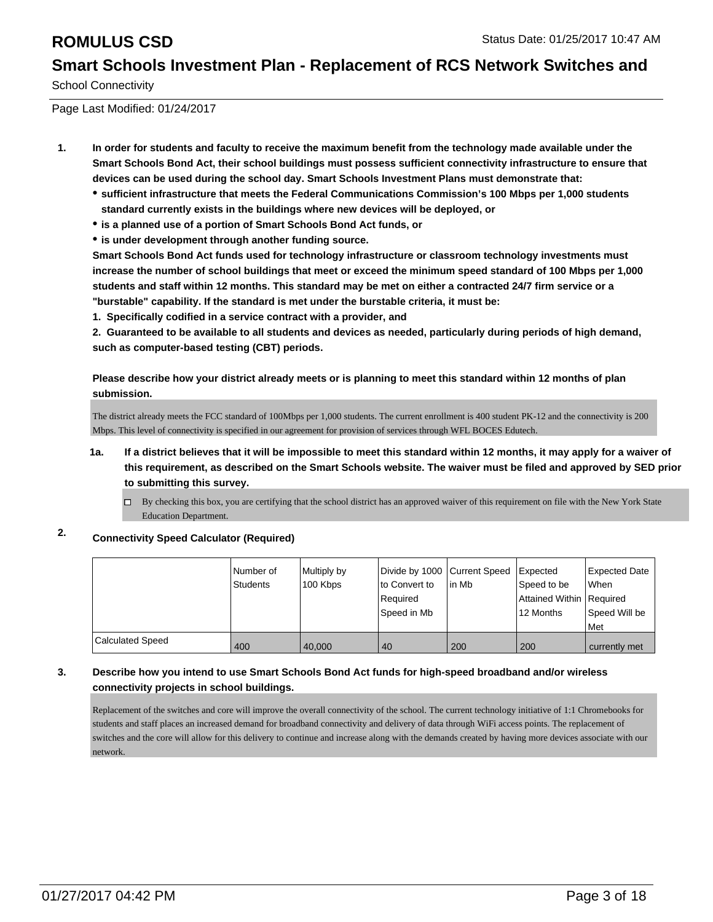School Connectivity

Page Last Modified: 01/24/2017

- **1. In order for students and faculty to receive the maximum benefit from the technology made available under the Smart Schools Bond Act, their school buildings must possess sufficient connectivity infrastructure to ensure that devices can be used during the school day. Smart Schools Investment Plans must demonstrate that:**
	- **sufficient infrastructure that meets the Federal Communications Commission's 100 Mbps per 1,000 students standard currently exists in the buildings where new devices will be deployed, or**
	- **is a planned use of a portion of Smart Schools Bond Act funds, or**
	- **is under development through another funding source.**

**Smart Schools Bond Act funds used for technology infrastructure or classroom technology investments must increase the number of school buildings that meet or exceed the minimum speed standard of 100 Mbps per 1,000 students and staff within 12 months. This standard may be met on either a contracted 24/7 firm service or a "burstable" capability. If the standard is met under the burstable criteria, it must be:**

**1. Specifically codified in a service contract with a provider, and**

**2. Guaranteed to be available to all students and devices as needed, particularly during periods of high demand, such as computer-based testing (CBT) periods.**

**Please describe how your district already meets or is planning to meet this standard within 12 months of plan submission.**

The district already meets the FCC standard of 100Mbps per 1,000 students. The current enrollment is 400 student PK-12 and the connectivity is 200 Mbps. This level of connectivity is specified in our agreement for provision of services through WFL BOCES Edutech.

- **1a. If a district believes that it will be impossible to meet this standard within 12 months, it may apply for a waiver of this requirement, as described on the Smart Schools website. The waiver must be filed and approved by SED prior to submitting this survey.**
	- By checking this box, you are certifying that the school district has an approved waiver of this requirement on file with the New York State Education Department.

### **2. Connectivity Speed Calculator (Required)**

|                  | l Number of<br>Students | Multiply by<br>100 Kbps | lto Convert to<br>Required<br>Speed in Mb | Divide by 1000 Current Speed Expected<br>l in Mb | Speed to be<br>Attained Within   Required<br>12 Months | Expected Date<br><b>When</b><br>Speed Will be<br>Met |
|------------------|-------------------------|-------------------------|-------------------------------------------|--------------------------------------------------|--------------------------------------------------------|------------------------------------------------------|
| Calculated Speed | 400                     | 40.000                  | 40                                        | 200                                              | 200                                                    | currently met                                        |

### **3. Describe how you intend to use Smart Schools Bond Act funds for high-speed broadband and/or wireless connectivity projects in school buildings.**

Replacement of the switches and core will improve the overall connectivity of the school. The current technology initiative of 1:1 Chromebooks for students and staff places an increased demand for broadband connectivity and delivery of data through WiFi access points. The replacement of switches and the core will allow for this delivery to continue and increase along with the demands created by having more devices associate with our network.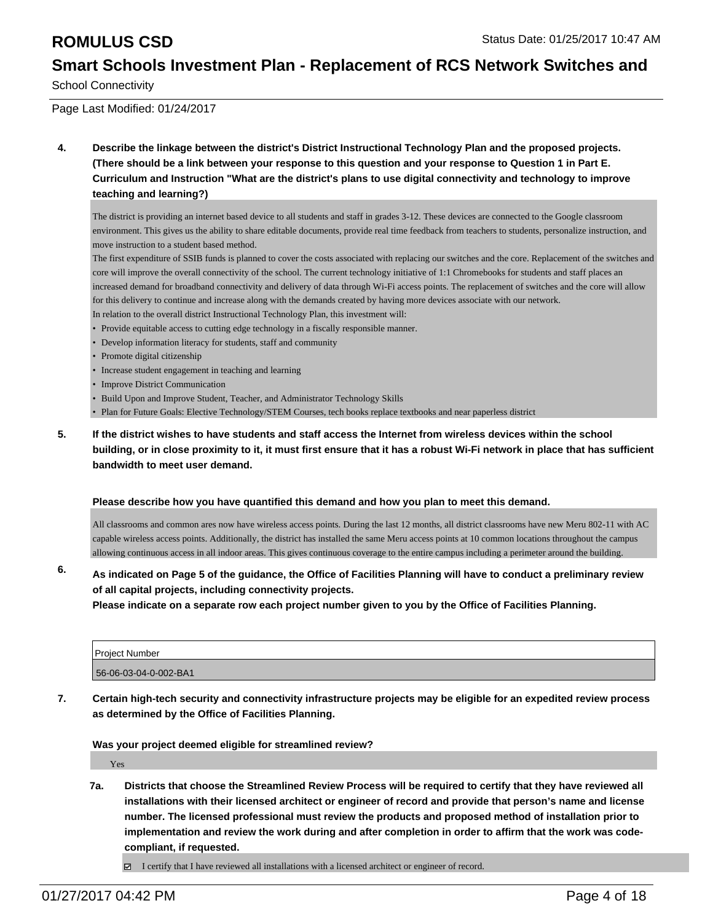School Connectivity

Page Last Modified: 01/24/2017

**4. Describe the linkage between the district's District Instructional Technology Plan and the proposed projects. (There should be a link between your response to this question and your response to Question 1 in Part E. Curriculum and Instruction "What are the district's plans to use digital connectivity and technology to improve teaching and learning?)**

The district is providing an internet based device to all students and staff in grades 3-12. These devices are connected to the Google classroom environment. This gives us the ability to share editable documents, provide real time feedback from teachers to students, personalize instruction, and move instruction to a student based method.

The first expenditure of SSIB funds is planned to cover the costs associated with replacing our switches and the core. Replacement of the switches and core will improve the overall connectivity of the school. The current technology initiative of 1:1 Chromebooks for students and staff places an increased demand for broadband connectivity and delivery of data through Wi-Fi access points. The replacement of switches and the core will allow for this delivery to continue and increase along with the demands created by having more devices associate with our network.

In relation to the overall district Instructional Technology Plan, this investment will:

- Provide equitable access to cutting edge technology in a fiscally responsible manner.
- Develop information literacy for students, staff and community
- Promote digital citizenship
- Increase student engagement in teaching and learning
- Improve District Communication
- Build Upon and Improve Student, Teacher, and Administrator Technology Skills
- Plan for Future Goals: Elective Technology/STEM Courses, tech books replace textbooks and near paperless district
- **5. If the district wishes to have students and staff access the Internet from wireless devices within the school building, or in close proximity to it, it must first ensure that it has a robust Wi-Fi network in place that has sufficient bandwidth to meet user demand.**

### **Please describe how you have quantified this demand and how you plan to meet this demand.**

All classrooms and common ares now have wireless access points. During the last 12 months, all district classrooms have new Meru 802-11 with AC capable wireless access points. Additionally, the district has installed the same Meru access points at 10 common locations throughout the campus allowing continuous access in all indoor areas. This gives continuous coverage to the entire campus including a perimeter around the building.

### **6. As indicated on Page 5 of the guidance, the Office of Facilities Planning will have to conduct a preliminary review of all capital projects, including connectivity projects.**

**Please indicate on a separate row each project number given to you by the Office of Facilities Planning.**

| <b>Project Number</b> |  |
|-----------------------|--|
| 56-06-03-04-0-002-BA1 |  |

**7. Certain high-tech security and connectivity infrastructure projects may be eligible for an expedited review process as determined by the Office of Facilities Planning.**

**Was your project deemed eligible for streamlined review?**

Yes

**7a. Districts that choose the Streamlined Review Process will be required to certify that they have reviewed all installations with their licensed architect or engineer of record and provide that person's name and license number. The licensed professional must review the products and proposed method of installation prior to implementation and review the work during and after completion in order to affirm that the work was codecompliant, if requested.**

 $\boxtimes$  I certify that I have reviewed all installations with a licensed architect or engineer of record.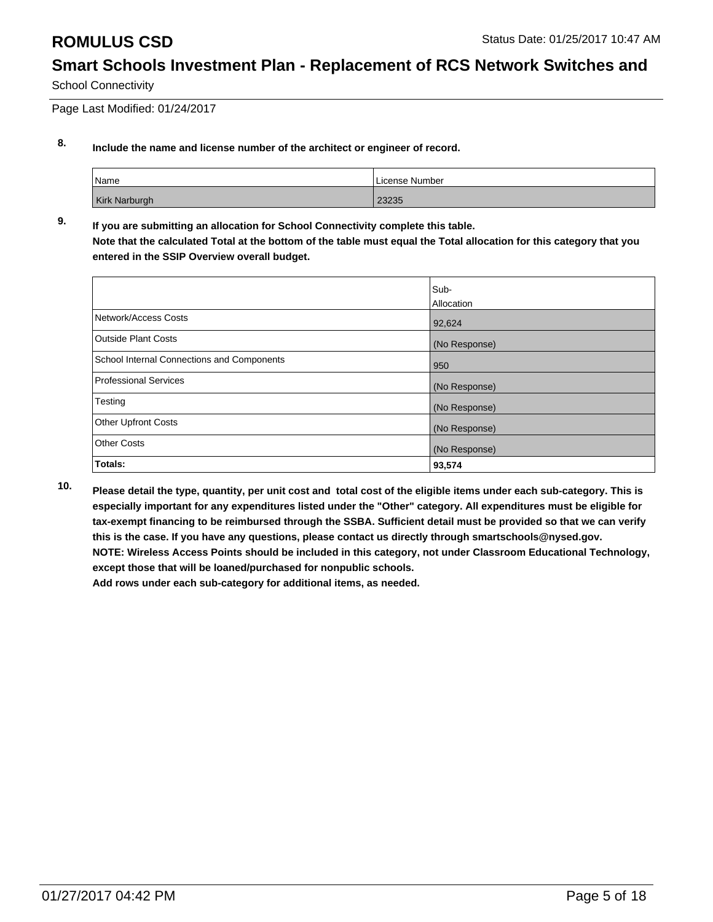School Connectivity

Page Last Modified: 01/24/2017

### **8. Include the name and license number of the architect or engineer of record.**

| Name                 | License Number |
|----------------------|----------------|
| <b>Kirk Narburgh</b> | 23235          |

**9. If you are submitting an allocation for School Connectivity complete this table. Note that the calculated Total at the bottom of the table must equal the Total allocation for this category that you entered in the SSIP Overview overall budget.** 

|                                            | Sub-          |
|--------------------------------------------|---------------|
|                                            | Allocation    |
| Network/Access Costs                       | 92,624        |
| <b>Outside Plant Costs</b>                 | (No Response) |
| School Internal Connections and Components | 950           |
| <b>Professional Services</b>               | (No Response) |
| Testing                                    | (No Response) |
| <b>Other Upfront Costs</b>                 | (No Response) |
| <b>Other Costs</b>                         | (No Response) |
| Totals:                                    | 93,574        |

**10. Please detail the type, quantity, per unit cost and total cost of the eligible items under each sub-category. This is especially important for any expenditures listed under the "Other" category. All expenditures must be eligible for tax-exempt financing to be reimbursed through the SSBA. Sufficient detail must be provided so that we can verify this is the case. If you have any questions, please contact us directly through smartschools@nysed.gov. NOTE: Wireless Access Points should be included in this category, not under Classroom Educational Technology, except those that will be loaned/purchased for nonpublic schools.**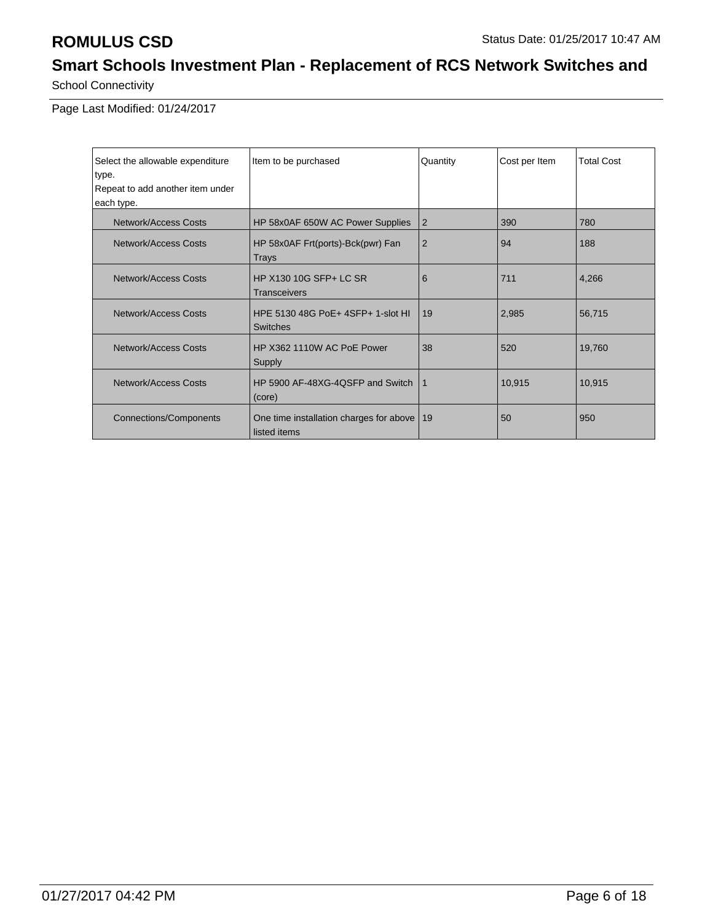School Connectivity

Page Last Modified: 01/24/2017

| Select the allowable expenditure | Quantity<br>Item to be purchased                             |                | Cost per Item | <b>Total Cost</b> |
|----------------------------------|--------------------------------------------------------------|----------------|---------------|-------------------|
| type.                            |                                                              |                |               |                   |
| Repeat to add another item under |                                                              |                |               |                   |
| each type.                       |                                                              |                |               |                   |
| Network/Access Costs             | HP 58x0AF 650W AC Power Supplies                             | $\overline{2}$ | 390           | 780               |
| Network/Access Costs             | HP 58x0AF Frt(ports)-Bck(pwr) Fan<br><b>Trays</b>            | $\overline{2}$ | 94            | 188               |
| <b>Network/Access Costs</b>      | HP X130 10G SFP+ LC SR<br><b>Transceivers</b>                | 6              | 711           | 4,266             |
| Network/Access Costs             | HPE 5130 48G PoE+ 4SFP+ 1-slot HI<br><b>Switches</b>         | 19             | 2,985         | 56,715            |
| <b>Network/Access Costs</b>      | HP X362 1110W AC PoE Power<br>Supply                         | 38             | 520           | 19,760            |
| <b>Network/Access Costs</b>      | HP 5900 AF-48XG-4QSFP and Switch<br>(core)                   | $\mathbf{1}$   | 10,915        | 10,915            |
| <b>Connections/Components</b>    | One time installation charges for above   19<br>listed items |                | 50            | 950               |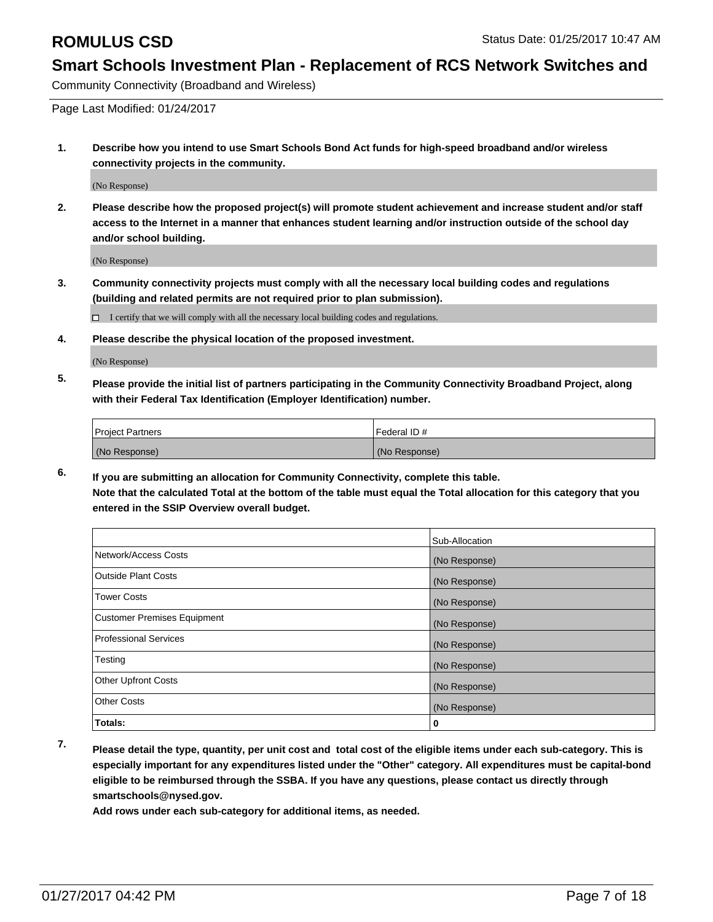Community Connectivity (Broadband and Wireless)

Page Last Modified: 01/24/2017

**1. Describe how you intend to use Smart Schools Bond Act funds for high-speed broadband and/or wireless connectivity projects in the community.**

(No Response)

**2. Please describe how the proposed project(s) will promote student achievement and increase student and/or staff access to the Internet in a manner that enhances student learning and/or instruction outside of the school day and/or school building.**

(No Response)

**3. Community connectivity projects must comply with all the necessary local building codes and regulations (building and related permits are not required prior to plan submission).**

 $\Box$  I certify that we will comply with all the necessary local building codes and regulations.

**4. Please describe the physical location of the proposed investment.**

(No Response)

**5. Please provide the initial list of partners participating in the Community Connectivity Broadband Project, along with their Federal Tax Identification (Employer Identification) number.**

| <b>Project Partners</b> | l Federal ID # |
|-------------------------|----------------|
| (No Response)           | (No Response)  |

**6. If you are submitting an allocation for Community Connectivity, complete this table. Note that the calculated Total at the bottom of the table must equal the Total allocation for this category that you entered in the SSIP Overview overall budget.**

|                                    | Sub-Allocation |
|------------------------------------|----------------|
| Network/Access Costs               | (No Response)  |
| <b>Outside Plant Costs</b>         | (No Response)  |
| <b>Tower Costs</b>                 | (No Response)  |
| <b>Customer Premises Equipment</b> | (No Response)  |
| <b>Professional Services</b>       | (No Response)  |
| Testing                            | (No Response)  |
| <b>Other Upfront Costs</b>         | (No Response)  |
| <b>Other Costs</b>                 | (No Response)  |
| Totals:                            | 0              |

**7. Please detail the type, quantity, per unit cost and total cost of the eligible items under each sub-category. This is especially important for any expenditures listed under the "Other" category. All expenditures must be capital-bond eligible to be reimbursed through the SSBA. If you have any questions, please contact us directly through smartschools@nysed.gov.**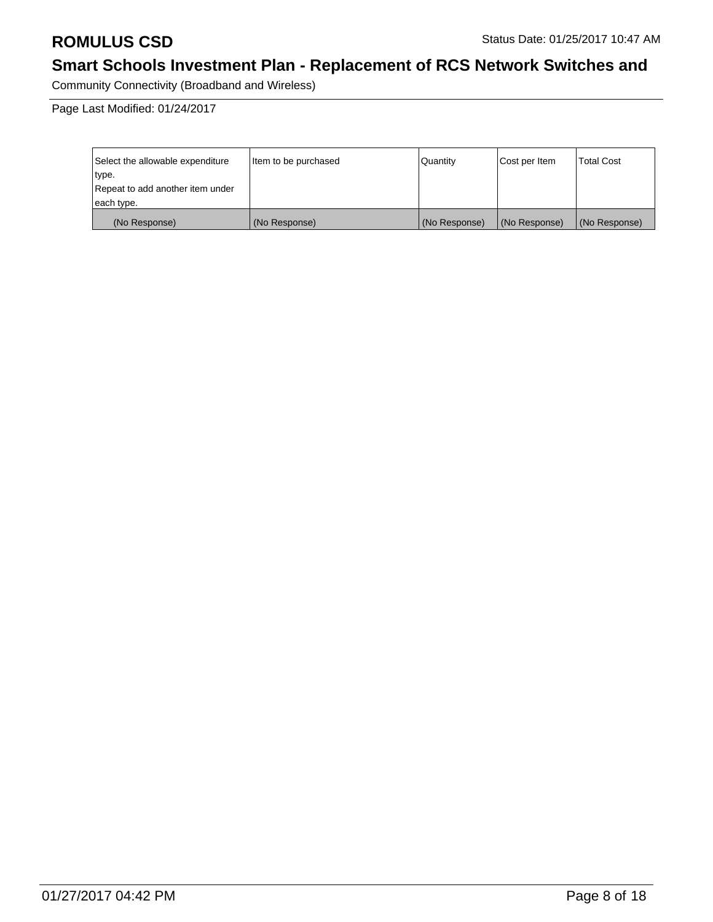Community Connectivity (Broadband and Wireless)

Page Last Modified: 01/24/2017

| Select the allowable expenditure | litem to be purchased | Quantity      | Cost per Item | <b>Total Cost</b> |
|----------------------------------|-----------------------|---------------|---------------|-------------------|
| type.                            |                       |               |               |                   |
| Repeat to add another item under |                       |               |               |                   |
| each type.                       |                       |               |               |                   |
| (No Response)                    | (No Response)         | (No Response) | (No Response) | (No Response)     |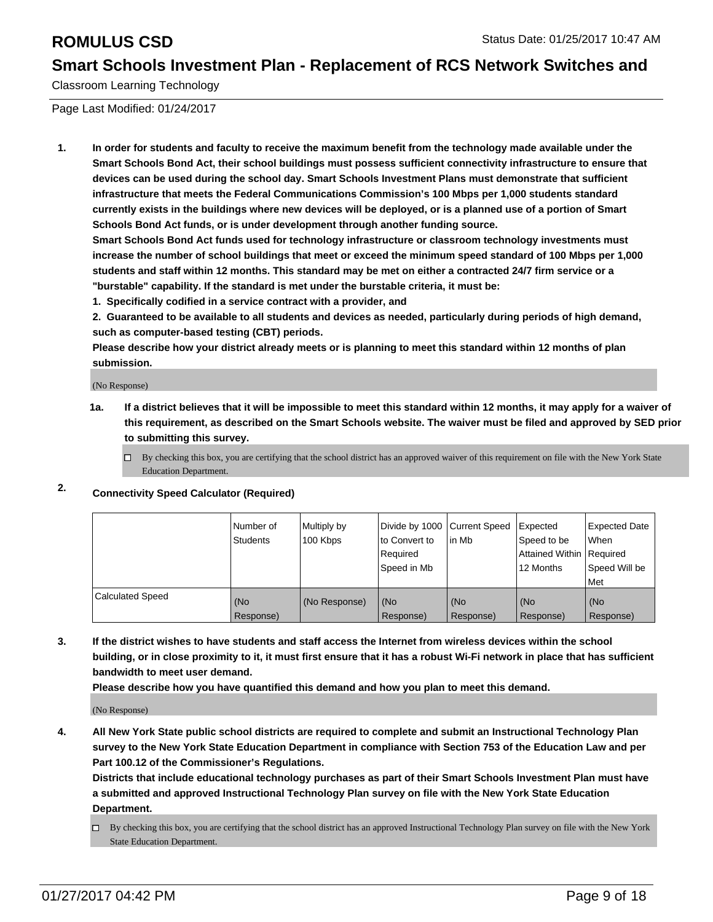Classroom Learning Technology

Page Last Modified: 01/24/2017

**1. In order for students and faculty to receive the maximum benefit from the technology made available under the Smart Schools Bond Act, their school buildings must possess sufficient connectivity infrastructure to ensure that devices can be used during the school day. Smart Schools Investment Plans must demonstrate that sufficient infrastructure that meets the Federal Communications Commission's 100 Mbps per 1,000 students standard currently exists in the buildings where new devices will be deployed, or is a planned use of a portion of Smart Schools Bond Act funds, or is under development through another funding source.**

**Smart Schools Bond Act funds used for technology infrastructure or classroom technology investments must increase the number of school buildings that meet or exceed the minimum speed standard of 100 Mbps per 1,000 students and staff within 12 months. This standard may be met on either a contracted 24/7 firm service or a "burstable" capability. If the standard is met under the burstable criteria, it must be:**

**1. Specifically codified in a service contract with a provider, and**

**2. Guaranteed to be available to all students and devices as needed, particularly during periods of high demand, such as computer-based testing (CBT) periods.**

**Please describe how your district already meets or is planning to meet this standard within 12 months of plan submission.**

(No Response)

- **1a. If a district believes that it will be impossible to meet this standard within 12 months, it may apply for a waiver of this requirement, as described on the Smart Schools website. The waiver must be filed and approved by SED prior to submitting this survey.**
	- $\Box$  By checking this box, you are certifying that the school district has an approved waiver of this requirement on file with the New York State Education Department.
- **2. Connectivity Speed Calculator (Required)**

|                         | Number of<br>Students | Multiply by<br>100 Kbps | Divide by 1000 Current Speed<br>to Convert to<br>Reauired<br>Speed in Mb | lin Mb           | <b>Expected</b><br>Speed to be<br>Attained Within Required<br>12 Months | <b>Expected Date</b><br>l When<br>Speed Will be<br>l Met |
|-------------------------|-----------------------|-------------------------|--------------------------------------------------------------------------|------------------|-------------------------------------------------------------------------|----------------------------------------------------------|
| <b>Calculated Speed</b> | (No<br>Response)      | (No Response)           | (No<br>Response)                                                         | (No<br>Response) | (No<br>Response)                                                        | l (No<br>Response)                                       |

**3. If the district wishes to have students and staff access the Internet from wireless devices within the school building, or in close proximity to it, it must first ensure that it has a robust Wi-Fi network in place that has sufficient bandwidth to meet user demand.**

**Please describe how you have quantified this demand and how you plan to meet this demand.**

(No Response)

**4. All New York State public school districts are required to complete and submit an Instructional Technology Plan survey to the New York State Education Department in compliance with Section 753 of the Education Law and per Part 100.12 of the Commissioner's Regulations.**

**Districts that include educational technology purchases as part of their Smart Schools Investment Plan must have a submitted and approved Instructional Technology Plan survey on file with the New York State Education Department.**

By checking this box, you are certifying that the school district has an approved Instructional Technology Plan survey on file with the New York State Education Department.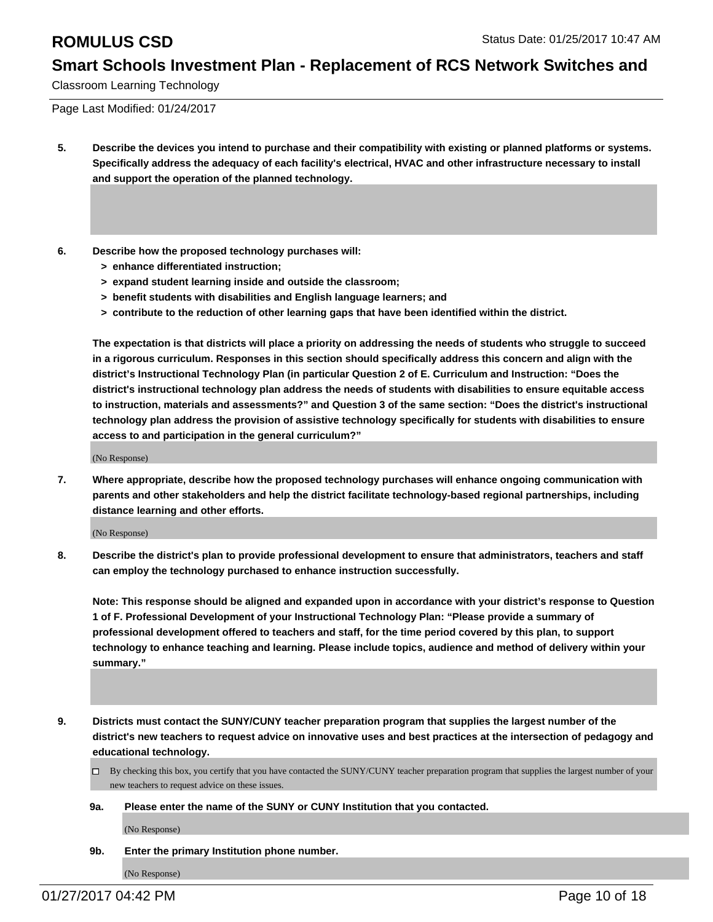Classroom Learning Technology

Page Last Modified: 01/24/2017

- **5. Describe the devices you intend to purchase and their compatibility with existing or planned platforms or systems. Specifically address the adequacy of each facility's electrical, HVAC and other infrastructure necessary to install and support the operation of the planned technology.**
- **6. Describe how the proposed technology purchases will:**
	- **> enhance differentiated instruction;**
	- **> expand student learning inside and outside the classroom;**
	- **> benefit students with disabilities and English language learners; and**
	- **> contribute to the reduction of other learning gaps that have been identified within the district.**

**The expectation is that districts will place a priority on addressing the needs of students who struggle to succeed in a rigorous curriculum. Responses in this section should specifically address this concern and align with the district's Instructional Technology Plan (in particular Question 2 of E. Curriculum and Instruction: "Does the district's instructional technology plan address the needs of students with disabilities to ensure equitable access to instruction, materials and assessments?" and Question 3 of the same section: "Does the district's instructional technology plan address the provision of assistive technology specifically for students with disabilities to ensure access to and participation in the general curriculum?"**

(No Response)

**7. Where appropriate, describe how the proposed technology purchases will enhance ongoing communication with parents and other stakeholders and help the district facilitate technology-based regional partnerships, including distance learning and other efforts.**

(No Response)

**8. Describe the district's plan to provide professional development to ensure that administrators, teachers and staff can employ the technology purchased to enhance instruction successfully.**

**Note: This response should be aligned and expanded upon in accordance with your district's response to Question 1 of F. Professional Development of your Instructional Technology Plan: "Please provide a summary of professional development offered to teachers and staff, for the time period covered by this plan, to support technology to enhance teaching and learning. Please include topics, audience and method of delivery within your summary."**

- **9. Districts must contact the SUNY/CUNY teacher preparation program that supplies the largest number of the district's new teachers to request advice on innovative uses and best practices at the intersection of pedagogy and educational technology.**
	- By checking this box, you certify that you have contacted the SUNY/CUNY teacher preparation program that supplies the largest number of your new teachers to request advice on these issues.
	- **9a. Please enter the name of the SUNY or CUNY Institution that you contacted.**

(No Response)

**9b. Enter the primary Institution phone number.**

(No Response)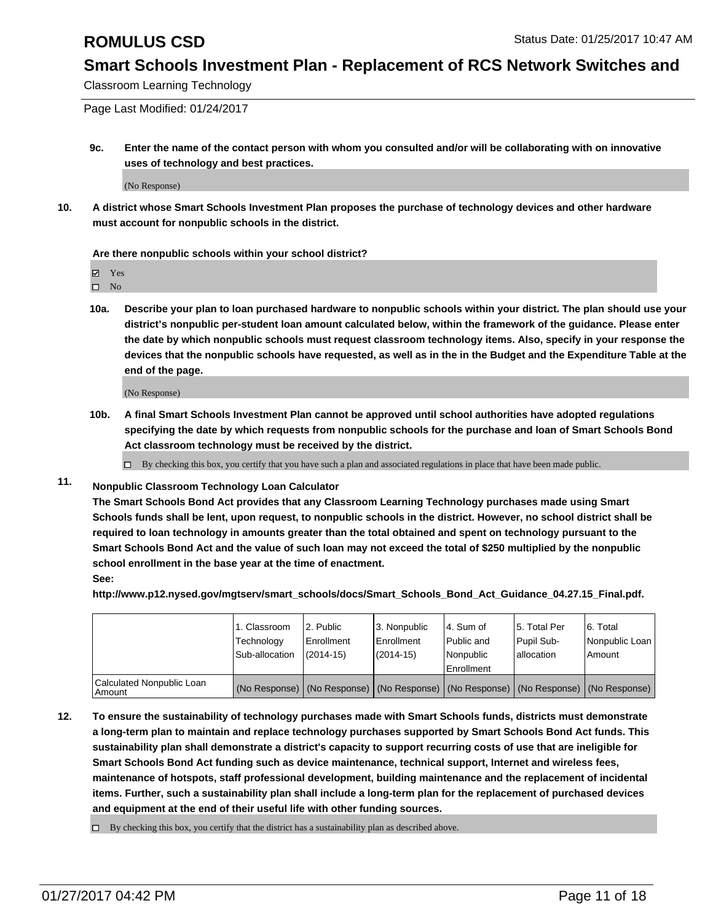Classroom Learning Technology

Page Last Modified: 01/24/2017

**9c. Enter the name of the contact person with whom you consulted and/or will be collaborating with on innovative uses of technology and best practices.**

(No Response)

**10. A district whose Smart Schools Investment Plan proposes the purchase of technology devices and other hardware must account for nonpublic schools in the district.**

**Are there nonpublic schools within your school district?**

Yes

 $\square$  No

**10a. Describe your plan to loan purchased hardware to nonpublic schools within your district. The plan should use your district's nonpublic per-student loan amount calculated below, within the framework of the guidance. Please enter the date by which nonpublic schools must request classroom technology items. Also, specify in your response the devices that the nonpublic schools have requested, as well as in the in the Budget and the Expenditure Table at the end of the page.**

(No Response)

**10b. A final Smart Schools Investment Plan cannot be approved until school authorities have adopted regulations specifying the date by which requests from nonpublic schools for the purchase and loan of Smart Schools Bond Act classroom technology must be received by the district.**

By checking this box, you certify that you have such a plan and associated regulations in place that have been made public.

**11. Nonpublic Classroom Technology Loan Calculator**

**The Smart Schools Bond Act provides that any Classroom Learning Technology purchases made using Smart Schools funds shall be lent, upon request, to nonpublic schools in the district. However, no school district shall be required to loan technology in amounts greater than the total obtained and spent on technology pursuant to the Smart Schools Bond Act and the value of such loan may not exceed the total of \$250 multiplied by the nonpublic school enrollment in the base year at the time of enactment. See:**

**http://www.p12.nysed.gov/mgtserv/smart\_schools/docs/Smart\_Schools\_Bond\_Act\_Guidance\_04.27.15\_Final.pdf.**

|                                       | 1. Classroom<br>Technology<br>Sub-allocation | 12. Public<br>l Enrollment<br>$(2014 - 15)$ | 3. Nonpublic<br>Enrollment<br>$(2014 - 15)$ | l 4. Sum of<br>l Public and<br>l Nonpublic<br>Enrollment                                      | 15. Total Per<br>Pupil Sub-<br>lallocation | 6. Total<br>Nonpublic Loan<br>Amount |
|---------------------------------------|----------------------------------------------|---------------------------------------------|---------------------------------------------|-----------------------------------------------------------------------------------------------|--------------------------------------------|--------------------------------------|
| Calculated Nonpublic Loan<br>l Amount |                                              |                                             |                                             | (No Response)   (No Response)   (No Response)   (No Response)   (No Response)   (No Response) |                                            |                                      |

**12. To ensure the sustainability of technology purchases made with Smart Schools funds, districts must demonstrate a long-term plan to maintain and replace technology purchases supported by Smart Schools Bond Act funds. This sustainability plan shall demonstrate a district's capacity to support recurring costs of use that are ineligible for Smart Schools Bond Act funding such as device maintenance, technical support, Internet and wireless fees, maintenance of hotspots, staff professional development, building maintenance and the replacement of incidental items. Further, such a sustainability plan shall include a long-term plan for the replacement of purchased devices and equipment at the end of their useful life with other funding sources.**

 $\Box$  By checking this box, you certify that the district has a sustainability plan as described above.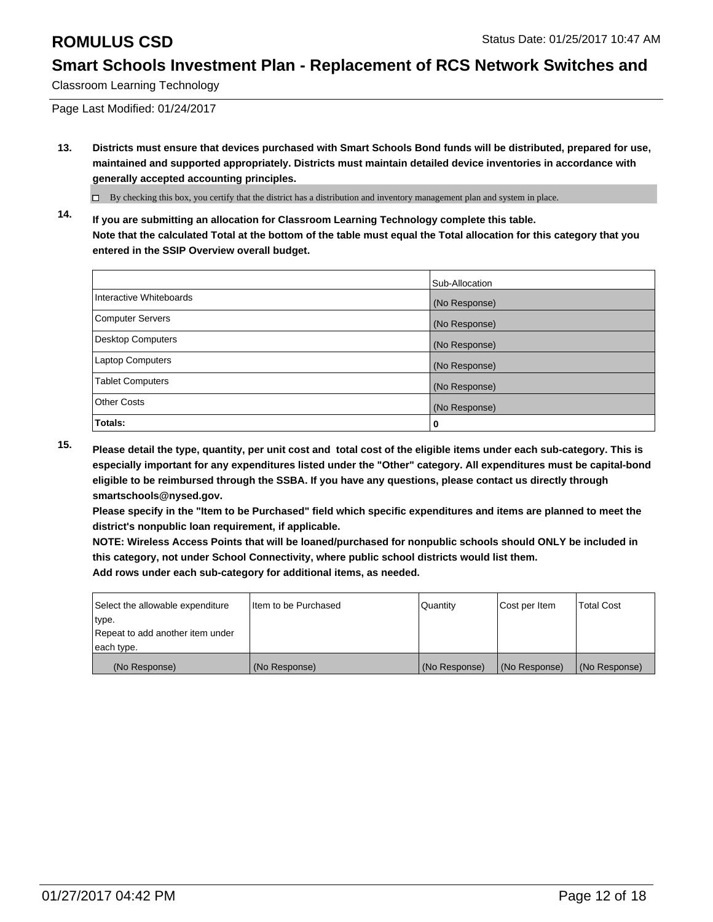Classroom Learning Technology

Page Last Modified: 01/24/2017

**13. Districts must ensure that devices purchased with Smart Schools Bond funds will be distributed, prepared for use, maintained and supported appropriately. Districts must maintain detailed device inventories in accordance with generally accepted accounting principles.**

 $\Box$  By checking this box, you certify that the district has a distribution and inventory management plan and system in place.

**14. If you are submitting an allocation for Classroom Learning Technology complete this table. Note that the calculated Total at the bottom of the table must equal the Total allocation for this category that you entered in the SSIP Overview overall budget.**

|                          | Sub-Allocation |
|--------------------------|----------------|
| Interactive Whiteboards  | (No Response)  |
| <b>Computer Servers</b>  | (No Response)  |
| <b>Desktop Computers</b> | (No Response)  |
| Laptop Computers         | (No Response)  |
| <b>Tablet Computers</b>  | (No Response)  |
| <b>Other Costs</b>       | (No Response)  |
| Totals:                  | 0              |

**15. Please detail the type, quantity, per unit cost and total cost of the eligible items under each sub-category. This is especially important for any expenditures listed under the "Other" category. All expenditures must be capital-bond eligible to be reimbursed through the SSBA. If you have any questions, please contact us directly through smartschools@nysed.gov.**

**Please specify in the "Item to be Purchased" field which specific expenditures and items are planned to meet the district's nonpublic loan requirement, if applicable.**

**NOTE: Wireless Access Points that will be loaned/purchased for nonpublic schools should ONLY be included in this category, not under School Connectivity, where public school districts would list them. Add rows under each sub-category for additional items, as needed.**

| Select the allowable expenditure | Iltem to be Purchased | Quantity      | Cost per Item | <b>Total Cost</b> |
|----------------------------------|-----------------------|---------------|---------------|-------------------|
| type.                            |                       |               |               |                   |
| Repeat to add another item under |                       |               |               |                   |
| each type.                       |                       |               |               |                   |
| (No Response)                    | (No Response)         | (No Response) | (No Response) | (No Response)     |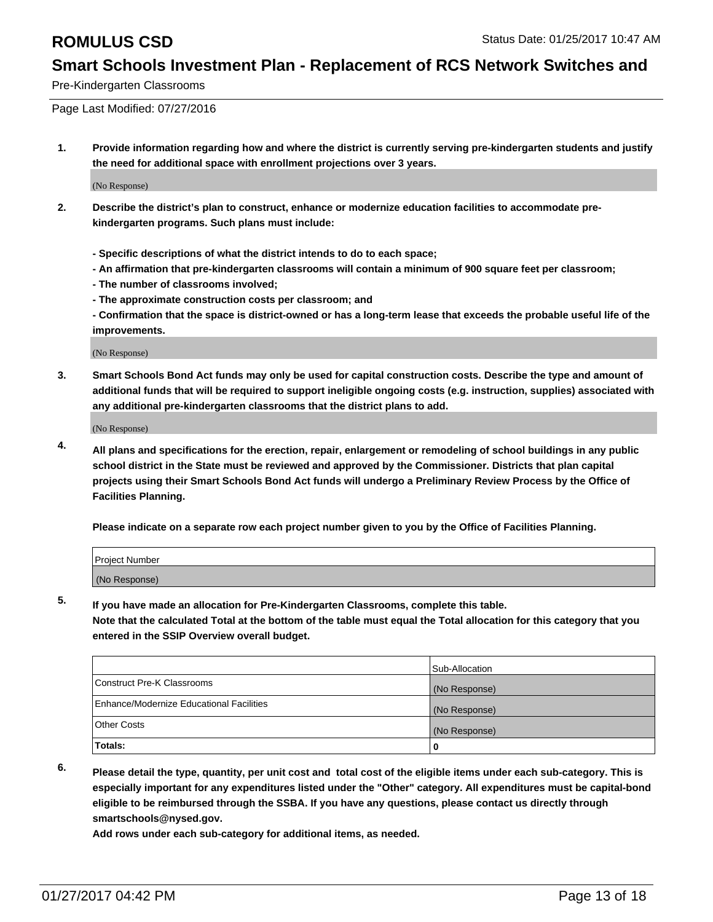Pre-Kindergarten Classrooms

Page Last Modified: 07/27/2016

**1. Provide information regarding how and where the district is currently serving pre-kindergarten students and justify the need for additional space with enrollment projections over 3 years.**

(No Response)

- **2. Describe the district's plan to construct, enhance or modernize education facilities to accommodate prekindergarten programs. Such plans must include:**
	- **Specific descriptions of what the district intends to do to each space;**
	- **An affirmation that pre-kindergarten classrooms will contain a minimum of 900 square feet per classroom;**
	- **The number of classrooms involved;**
	- **The approximate construction costs per classroom; and**
	- **Confirmation that the space is district-owned or has a long-term lease that exceeds the probable useful life of the improvements.**

(No Response)

**3. Smart Schools Bond Act funds may only be used for capital construction costs. Describe the type and amount of additional funds that will be required to support ineligible ongoing costs (e.g. instruction, supplies) associated with any additional pre-kindergarten classrooms that the district plans to add.**

(No Response)

**4. All plans and specifications for the erection, repair, enlargement or remodeling of school buildings in any public school district in the State must be reviewed and approved by the Commissioner. Districts that plan capital projects using their Smart Schools Bond Act funds will undergo a Preliminary Review Process by the Office of Facilities Planning.**

**Please indicate on a separate row each project number given to you by the Office of Facilities Planning.**

| Project Number |  |  |
|----------------|--|--|
| (No Response)  |  |  |

**5. If you have made an allocation for Pre-Kindergarten Classrooms, complete this table.**

**Note that the calculated Total at the bottom of the table must equal the Total allocation for this category that you entered in the SSIP Overview overall budget.**

|                                          | Sub-Allocation |
|------------------------------------------|----------------|
| Construct Pre-K Classrooms               | (No Response)  |
| Enhance/Modernize Educational Facilities | (No Response)  |
| Other Costs                              | (No Response)  |
| Totals:                                  |                |

**6. Please detail the type, quantity, per unit cost and total cost of the eligible items under each sub-category. This is especially important for any expenditures listed under the "Other" category. All expenditures must be capital-bond eligible to be reimbursed through the SSBA. If you have any questions, please contact us directly through smartschools@nysed.gov.**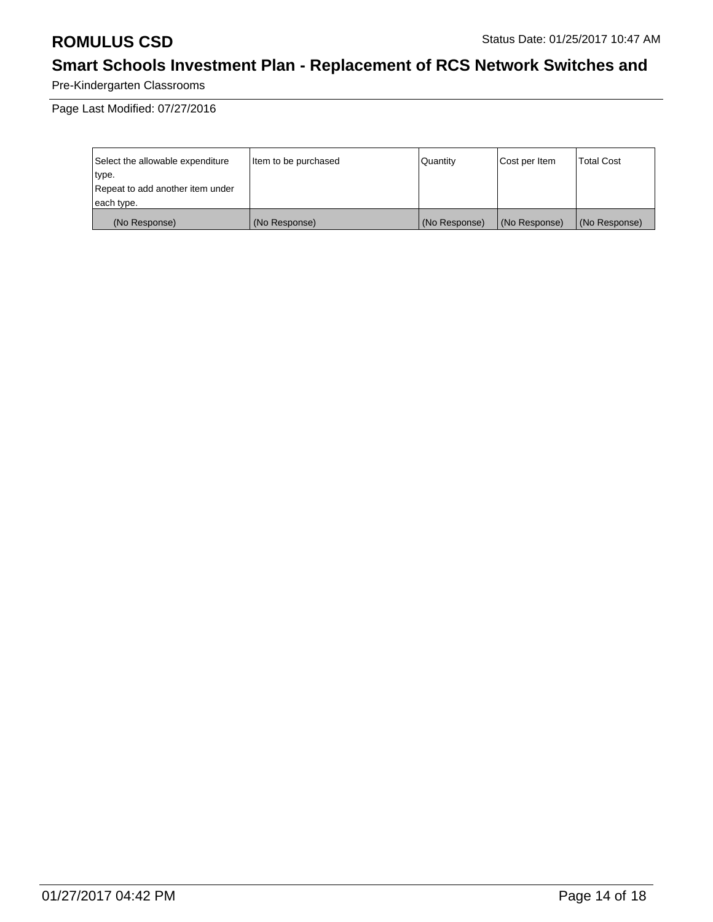Pre-Kindergarten Classrooms

Page Last Modified: 07/27/2016

| Select the allowable expenditure | litem to be purchased | Quantity      | Cost per Item | <b>Total Cost</b> |
|----------------------------------|-----------------------|---------------|---------------|-------------------|
| type.                            |                       |               |               |                   |
| Repeat to add another item under |                       |               |               |                   |
| each type.                       |                       |               |               |                   |
| (No Response)                    | (No Response)         | (No Response) | (No Response) | (No Response)     |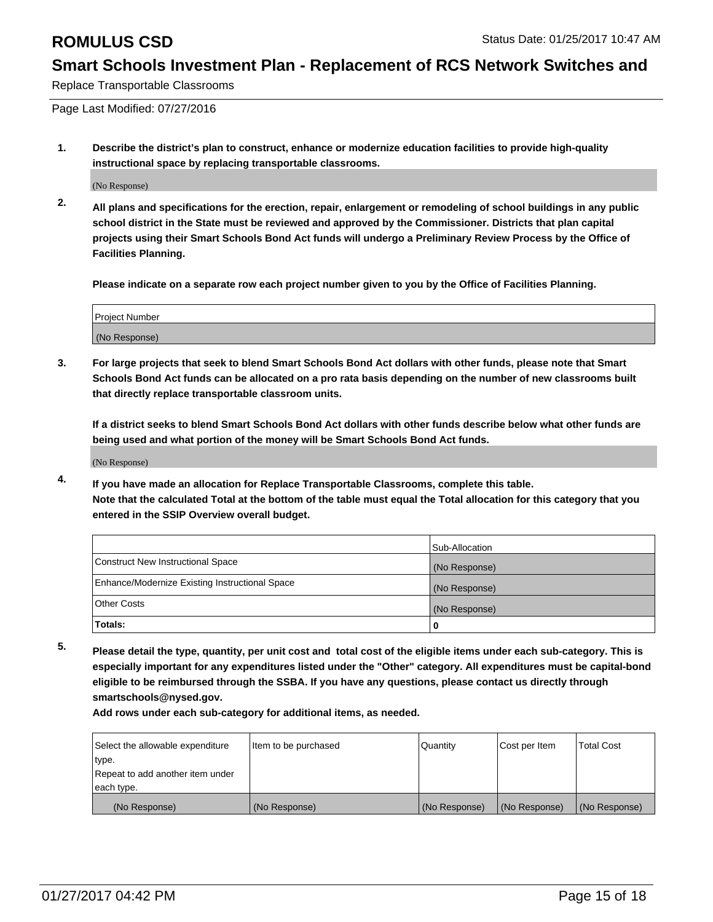Replace Transportable Classrooms

Page Last Modified: 07/27/2016

**1. Describe the district's plan to construct, enhance or modernize education facilities to provide high-quality instructional space by replacing transportable classrooms.**

(No Response)

**2. All plans and specifications for the erection, repair, enlargement or remodeling of school buildings in any public school district in the State must be reviewed and approved by the Commissioner. Districts that plan capital projects using their Smart Schools Bond Act funds will undergo a Preliminary Review Process by the Office of Facilities Planning.**

**Please indicate on a separate row each project number given to you by the Office of Facilities Planning.**

| <b>Project Number</b> |  |
|-----------------------|--|
| (No Response)         |  |

**3. For large projects that seek to blend Smart Schools Bond Act dollars with other funds, please note that Smart Schools Bond Act funds can be allocated on a pro rata basis depending on the number of new classrooms built that directly replace transportable classroom units.**

**If a district seeks to blend Smart Schools Bond Act dollars with other funds describe below what other funds are being used and what portion of the money will be Smart Schools Bond Act funds.**

(No Response)

**4. If you have made an allocation for Replace Transportable Classrooms, complete this table. Note that the calculated Total at the bottom of the table must equal the Total allocation for this category that you entered in the SSIP Overview overall budget.**

|                                                | Sub-Allocation |
|------------------------------------------------|----------------|
| Construct New Instructional Space              | (No Response)  |
| Enhance/Modernize Existing Instructional Space | (No Response)  |
| <b>Other Costs</b>                             | (No Response)  |
| Totals:                                        |                |

**5. Please detail the type, quantity, per unit cost and total cost of the eligible items under each sub-category. This is especially important for any expenditures listed under the "Other" category. All expenditures must be capital-bond eligible to be reimbursed through the SSBA. If you have any questions, please contact us directly through smartschools@nysed.gov.**

| Select the allowable expenditure | Item to be purchased | Quantity      | Cost per Item | <b>Total Cost</b> |
|----------------------------------|----------------------|---------------|---------------|-------------------|
| type.                            |                      |               |               |                   |
| Repeat to add another item under |                      |               |               |                   |
| each type.                       |                      |               |               |                   |
| (No Response)                    | (No Response)        | (No Response) | (No Response) | (No Response)     |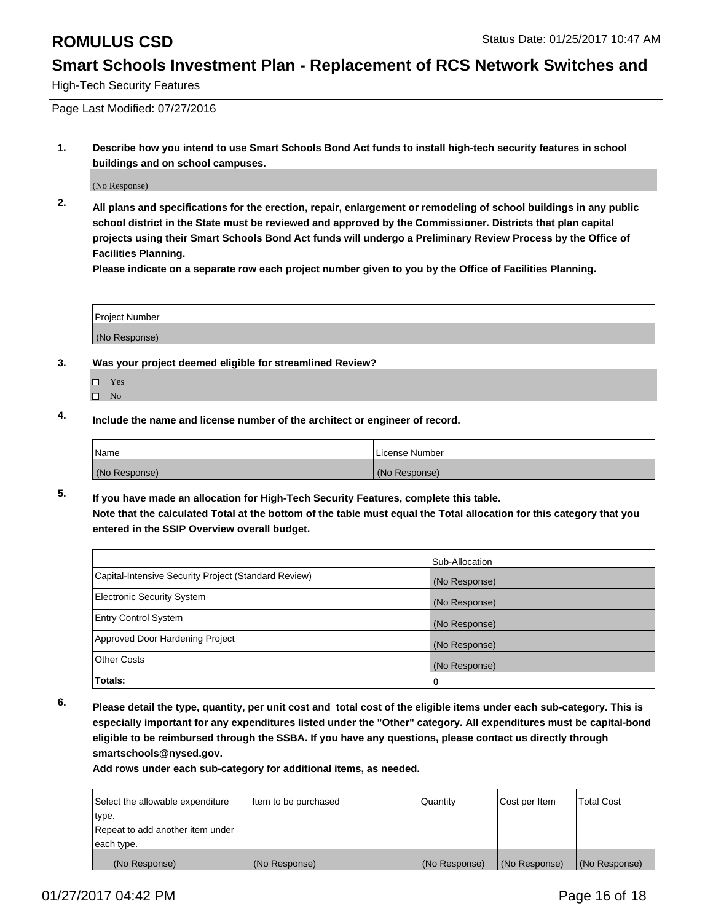High-Tech Security Features

Page Last Modified: 07/27/2016

**1. Describe how you intend to use Smart Schools Bond Act funds to install high-tech security features in school buildings and on school campuses.**

(No Response)

**2. All plans and specifications for the erection, repair, enlargement or remodeling of school buildings in any public school district in the State must be reviewed and approved by the Commissioner. Districts that plan capital projects using their Smart Schools Bond Act funds will undergo a Preliminary Review Process by the Office of Facilities Planning.** 

**Please indicate on a separate row each project number given to you by the Office of Facilities Planning.**

| Project Number |  |
|----------------|--|
| (No Response)  |  |

- **3. Was your project deemed eligible for streamlined Review?**
	- Yes
	- $\square$  No
- **4. Include the name and license number of the architect or engineer of record.**

| Name          | License Number |
|---------------|----------------|
| (No Response) | (No Response)  |

**5. If you have made an allocation for High-Tech Security Features, complete this table. Note that the calculated Total at the bottom of the table must equal the Total allocation for this category that you entered in the SSIP Overview overall budget.**

|                                                      | Sub-Allocation |
|------------------------------------------------------|----------------|
| Capital-Intensive Security Project (Standard Review) | (No Response)  |
| <b>Electronic Security System</b>                    | (No Response)  |
| <b>Entry Control System</b>                          | (No Response)  |
| Approved Door Hardening Project                      | (No Response)  |
| <b>Other Costs</b>                                   | (No Response)  |
| Totals:                                              | 0              |

**6. Please detail the type, quantity, per unit cost and total cost of the eligible items under each sub-category. This is especially important for any expenditures listed under the "Other" category. All expenditures must be capital-bond eligible to be reimbursed through the SSBA. If you have any questions, please contact us directly through smartschools@nysed.gov.**

| Select the allowable expenditure | litem to be purchased | Quantity      | Cost per Item | <b>Total Cost</b> |
|----------------------------------|-----------------------|---------------|---------------|-------------------|
| type.                            |                       |               |               |                   |
| Repeat to add another item under |                       |               |               |                   |
| each type.                       |                       |               |               |                   |
| (No Response)                    | (No Response)         | (No Response) | (No Response) | (No Response)     |